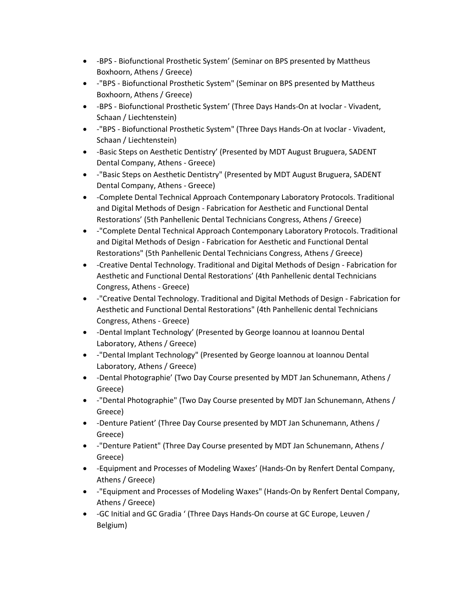- -BPS Biofunctional Prosthetic System' (Seminar on BPS presented by Mattheus Boxhoorn, Athens / Greece)
- -"BPS Biofunctional Prosthetic System" (Seminar on BPS presented by Mattheus Boxhoorn, Athens / Greece)
- -BPS Biofunctional Prosthetic System' (Three Days Hands-On at Ivoclar Vivadent, Schaan / Liechtenstein)
- -"BPS Biofunctional Prosthetic System" (Three Days Hands-On at Ivoclar Vivadent, Schaan / Liechtenstein)
- -Basic Steps on Aesthetic Dentistry' (Presented by MDT August Bruguera, SADENT Dental Company, Athens - Greece)
- -"Basic Steps on Aesthetic Dentistry" (Presented by MDT August Bruguera, SADENT Dental Company, Athens - Greece)
- -Complete Dental Technical Approach Contemponary Laboratory Protocols. Traditional and Digital Methods of Design - Fabrication for Aesthetic and Functional Dental Restorations' (5th Panhellenic Dental Technicians Congress, Athens / Greece)
- -"Complete Dental Technical Approach Contemponary Laboratory Protocols. Traditional and Digital Methods of Design - Fabrication for Aesthetic and Functional Dental Restorations" (5th Panhellenic Dental Technicians Congress, Athens / Greece)
- -Creative Dental Technology. Traditional and Digital Methods of Design Fabrication for Aesthetic and Functional Dental Restorations' (4th Panhellenic dental Technicians Congress, Athens - Greece)
- -"Creative Dental Technology. Traditional and Digital Methods of Design Fabrication for Aesthetic and Functional Dental Restorations" (4th Panhellenic dental Technicians Congress, Athens - Greece)
- -Dental Implant Technology' (Presented by George Ioannou at Ioannou Dental Laboratory, Athens / Greece)
- -"Dental Implant Technology" (Presented by George Ioannou at Ioannou Dental Laboratory, Athens / Greece)
- -Dental Photographie' (Two Day Course presented by MDT Jan Schunemann, Athens / Greece)
- -"Dental Photographie" (Two Day Course presented by MDT Jan Schunemann, Athens / Greece)
- -Denture Patient' (Three Day Course presented by MDT Jan Schunemann, Athens / Greece)
- -"Denture Patient" (Three Day Course presented by MDT Jan Schunemann, Athens / Greece)
- -Equipment and Processes of Modeling Waxes' (Hands-On by Renfert Dental Company, Athens / Greece)
- -"Equipment and Processes of Modeling Waxes" (Hands-On by Renfert Dental Company, Athens / Greece)
- -GC Initial and GC Gradia ' (Three Days Hands-On course at GC Europe, Leuven / Belgium)